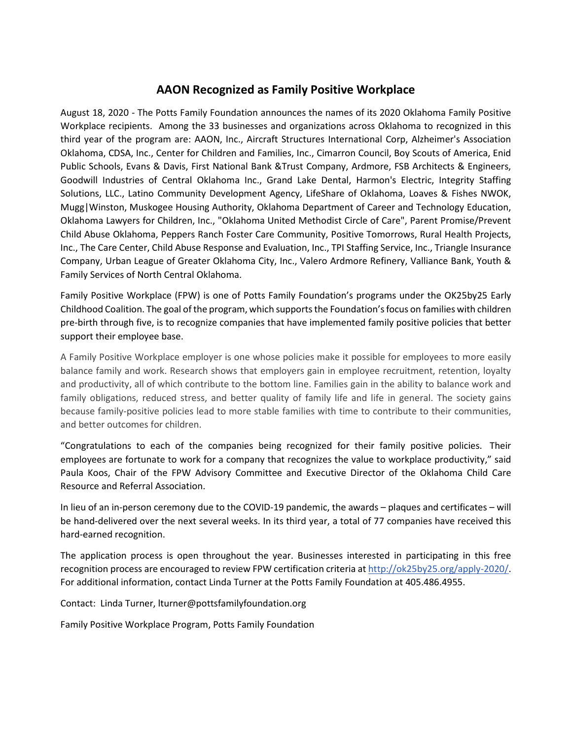## **AAON Recognized as Family Positive Workplace**

August 18, 2020 - The Potts Family Foundation announces the names of its 2020 Oklahoma Family Positive Workplace recipients. Among the 33 businesses and organizations across Oklahoma to recognized in this third year of the program are: AAON, Inc., Aircraft Structures International Corp, Alzheimer's Association Oklahoma, CDSA, Inc., Center for Children and Families, Inc., Cimarron Council, Boy Scouts of America, Enid Public Schools, Evans & Davis, First National Bank &Trust Company, Ardmore, FSB Architects & Engineers, Goodwill Industries of Central Oklahoma Inc., Grand Lake Dental, Harmon's Electric, Integrity Staffing Solutions, LLC., Latino Community Development Agency, LifeShare of Oklahoma, Loaves & Fishes NWOK, Mugg|Winston, Muskogee Housing Authority, Oklahoma Department of Career and Technology Education, Oklahoma Lawyers for Children, Inc., "Oklahoma United Methodist Circle of Care", Parent Promise/Prevent Child Abuse Oklahoma, Peppers Ranch Foster Care Community, Positive Tomorrows, Rural Health Projects, Inc., The Care Center, Child Abuse Response and Evaluation, Inc., TPI Staffing Service, Inc., Triangle Insurance Company, Urban League of Greater Oklahoma City, Inc., Valero Ardmore Refinery, Valliance Bank, Youth & Family Services of North Central Oklahoma.

Family Positive Workplace (FPW) is one of Potts Family Foundation's programs under the OK25by25 Early Childhood Coalition. The goal of the program, which supportsthe Foundation's focus on families with children pre-birth through five, is to recognize companies that have implemented family positive policies that better support their employee base.

A Family Positive Workplace employer is one whose policies make it possible for employees to more easily balance family and work. Research shows that employers gain in employee recruitment, retention, loyalty and productivity, all of which contribute to the bottom line. Families gain in the ability to balance work and family obligations, reduced stress, and better quality of family life and life in general. The society gains because family-positive policies lead to more stable families with time to contribute to their communities, and better outcomes for children.

"Congratulations to each of the companies being recognized for their family positive policies. Their employees are fortunate to work for a company that recognizes the value to workplace productivity," said Paula Koos, Chair of the FPW Advisory Committee and Executive Director of the Oklahoma Child Care Resource and Referral Association.

In lieu of an in-person ceremony due to the COVID-19 pandemic, the awards – plaques and certificates – will be hand-delivered over the next several weeks. In its third year, a total of 77 companies have received this hard-earned recognition.

The application process is open throughout the year. Businesses interested in participating in this free recognition process are encouraged to review FPW certification criteria at [http://ok25by25.org/apply-2020/.](http://ok25by25.org/apply-2020/) For additional information, contact Linda Turner at the Potts Family Foundation at 405.486.4955.

Contact: Linda Turner, lturner@pottsfamilyfoundation.org

Family Positive Workplace Program, Potts Family Foundation